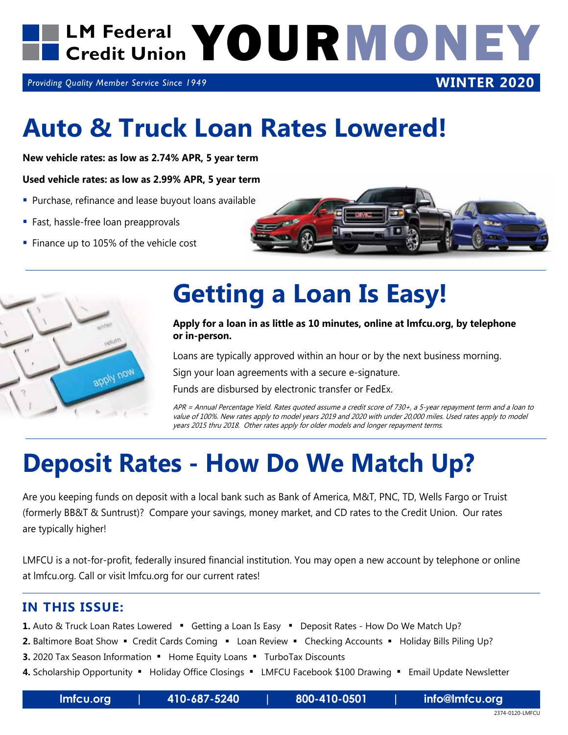

*Providing Quality Member Service Since 1949*

### **Auto & Truck Loan Rates Lowered!**

**New vehicle rates: as low as 2.74% APR, 5 year term**

#### **Used vehicle rates: as low as 2.99% APR, 5 year term**

- **Purchase, refinance and lease buyout loans available**
- Fast, hassle-free loan preapprovals
- Finance up to 105% of the vehicle cost



**WINTER 2020**



### **Getting a Loan Is Easy!**

#### **Apply for a loan in as little as 10 minutes, online at lmfcu.org, by telephone or in-person.**

Loans are typically approved within an hour or by the next business morning.

Sign your loan agreements with a secure e-signature.

Funds are disbursed by electronic transfer or FedEx.

APR = Annual Percentage Yield. Rates quoted assume a credit score of 730+, a 5-year repayment term and a loan to value of 100%. New rates apply to model years 2019 and 2020 with under 20,000 miles. Used rates apply to model years 2015 thru 2018. Other rates apply for older models and longer repayment terms.

## **Deposit Rates - How Do We Match Up?**

Are you keeping funds on deposit with a local bank such as Bank of America, M&T, PNC, TD, Wells Fargo or Truist (formerly BB&T & Suntrust)? Compare your savings, money market, and CD rates to the Credit Union. Our rates are typically higher!

LMFCU is a not-for-profit, federally insured financial institution. You may open a new account by telephone or online at lmfcu.org. Call or visit lmfcu.org for our current rates!

#### **IN THIS ISSUE:**

- **1.** Auto & Truck Loan Rates Lowered " Getting a Loan Is Easy " Deposit Rates How Do We Match Up?
- **2.** Baltimore Boat Show Credit Cards Coming Loan Review Checking Accounts Holiday Bills Piling Up?
- **3.** 2020 Tax Season Information . Home Equity Loans . TurboTax Discounts
- 4. Scholarship Opportunity . Holiday Office Closings . LMFCU Facebook \$100 Drawing . Email Update Newsletter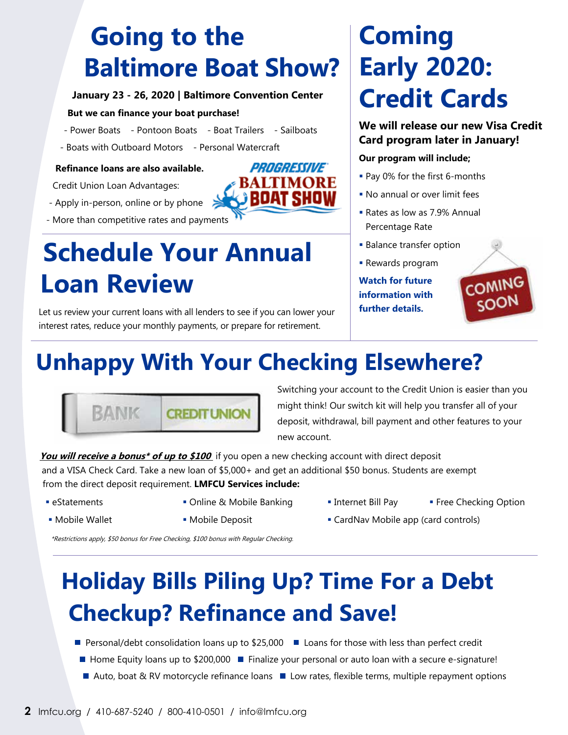### **Going to the Baltimore Boat Show?**

#### **January 23 - 26, 2020 | Baltimore Convention Center**

#### **But we can finance your boat purchase!**

- Power Boats Pontoon Boats Boat Trailers Sailboats
- Boats with Outboard Motors Personal Watercraft

#### **Refinance loans are also available.**

Credit Union Loan Advantages:

- Apply in-person, online or by phone
- More than competitive rates and payments

### **Schedule Your Annual Loan Review**

Let us review your current loans with all lenders to see if you can lower your interest rates, reduce your monthly payments, or prepare for retirement.

### **Coming Early 2020: Credit Cards**

#### **We will release our new Visa Credit Card program later in January!**

#### **Our program will include;**

- Pay 0% for the first 6-months
- No annual or over limit fees
- Rates as low as 7.9% Annual Percentage Rate
- **Balance transfer option**
- **Rewards program**

**Watch for future information with further details.**



### **Unhappy With Your Checking Elsewhere?**



Switching your account to the Credit Union is easier than you might think! Our switch kit will help you transfer all of your deposit, withdrawal, bill payment and other features to your new account.

**You will receive a bonus<sup>\*</sup> of up to \$100** if you open a new checking account with direct deposit and a VISA Check Card. Take a new loan of \$5,000+ and get an additional \$50 bonus. Students are exempt from the direct deposit requirement. **LMFCU Services include:**

- 
- 
- 
- 
- **Examents Conding & Mobile Banking <b>Internet Bill Pay** Pree Checking Option
- Mobile Wallet Mobile Deposit CardNav Mobile app (card controls)

\*Restrictions apply, \$50 bonus for Free Checking, \$100 bonus with Regular Checking.

### **Holiday Bills Piling Up? Time For a Debt Checkup? Refinance and Save!**

- Personal/debt consolidation loans up to \$25,000 Loans for those with less than perfect credit
- Home Equity loans up to \$200,000 Finalize your personal or auto loan with a secure e-signature!
- $\blacksquare$  Auto, boat & RV motorcycle refinance loans  $\blacksquare$  Low rates, flexible terms, multiple repayment options

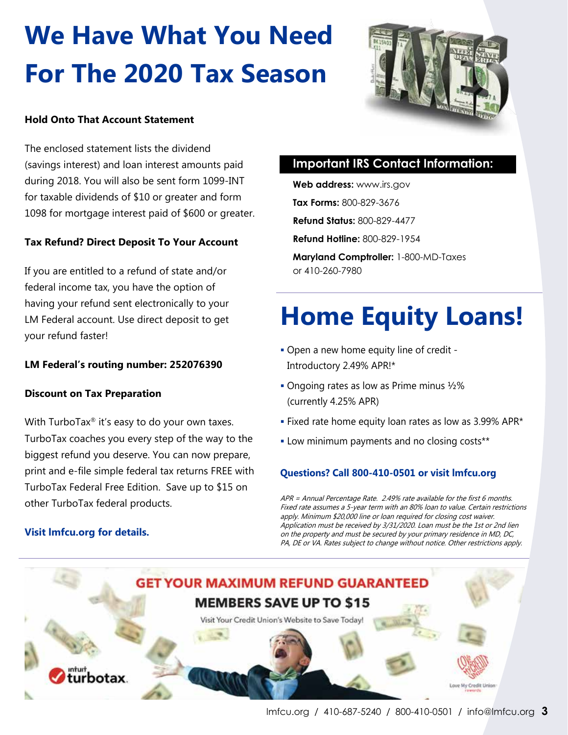# **We Have What You Need For The 2020 Tax Season**



#### **Hold Onto That Account Statement**

The enclosed statement lists the dividend (savings interest) and loan interest amounts paid during 2018. You will also be sent form 1099-INT for taxable dividends of \$10 or greater and form 1098 for mortgage interest paid of \$600 or greater.

#### **Tax Refund? Direct Deposit To Your Account**

If you are entitled to a refund of state and/or federal income tax, you have the option of having your refund sent electronically to your LM Federal account. Use direct deposit to get your refund faster!

#### **LM Federal's routing number: 252076390**

#### **Discount on Tax Preparation**

With TurboTax<sup>®</sup> it's easy to do your own taxes. TurboTax coaches you every step of the way to the biggest refund you deserve. You can now prepare, print and e-file simple federal tax returns FREE with TurboTax Federal Free Edition. Save up to \$15 on other TurboTax federal products.

#### **Visit lmfcu.org for details.**

#### **Important IRS Contact Information:**

**Web address:** www.irs.gov **Tax Forms:** 800-829-3676 **Refund Status:** 800-829-4477 **Refund Hotline:** 800-829-1954 **Maryland Comptroller:** 1-800-MD-Taxes

or 410-260-7980

## **Home Equity Loans!**

- Open a new home equity line of credit Introductory 2.49% APR!\*
- Ongoing rates as low as Prime minus ½% (currently 4.25% APR)
- Fixed rate home equity loan rates as low as 3.99% APR\*
- **Low minimum payments and no closing costs\*\***

#### **Questions? Call 800-410-0501 or visit lmfcu.org**

APR = Annual Percentage Rate. 2.49% rate available for the first 6 months. Fixed rate assumes a 5-year term with an 80% loan to value. Certain restrictions apply. Minimum \$20,000 line or loan required for closing cost waiver. Application must be received by 3/31/2020. Loan must be the 1st or 2nd lien on the property and must be secured by your primary residence in MD, DC, PA, DE or VA. Rates subject to change without notice. Other restrictions apply.